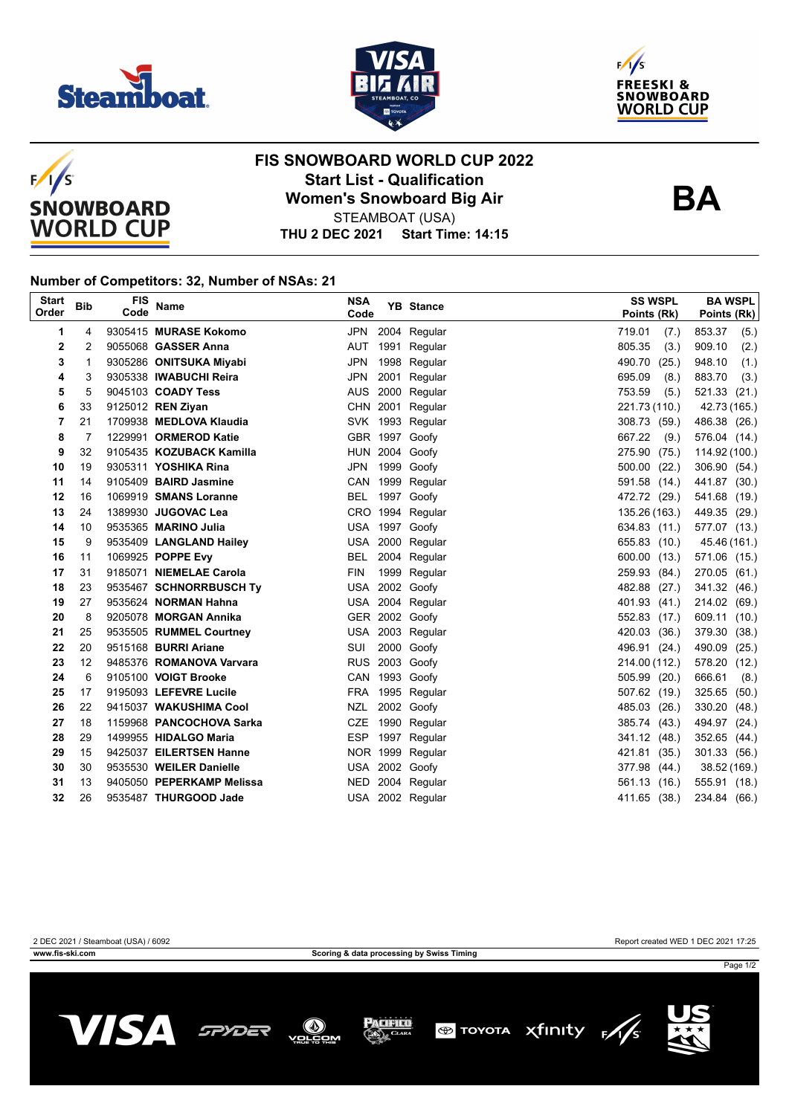





**BA**



## **FIS SNOWBOARD WORLD CUP 2022 Start List - Qualification Women's Snowboard Big Air** STEAMBOAT (USA)

**THU 2 DEC 2021 Start Time: 14:15**

## **Number of Competitors: 32, Number of NSAs: 21**

| <b>Start</b><br>Order | <b>Bib</b> | FIS<br>Code | Name                      | <b>NSA</b><br>Code | <b>YB</b> Stance | <b>SS WSPL</b><br>Points (Rk) | <b>BA WSPL</b><br>Points (Rk) |
|-----------------------|------------|-------------|---------------------------|--------------------|------------------|-------------------------------|-------------------------------|
| 1                     | 4          |             | 9305415 MURASE Kokomo     |                    | JPN 2004 Regular | 719.01<br>(7.)                | 853.37<br>(5.)                |
| 2                     | 2          |             | 9055068 GASSER Anna       | AUT                | 1991 Regular     | 805.35<br>(3.)                | 909.10<br>(2.)                |
| 3                     | 1          |             | 9305286 ONITSUKA Miyabi   | <b>JPN</b>         | 1998 Regular     | 490.70<br>(25.)               | 948.10<br>(1.)                |
| 4                     | 3          |             | 9305338 IWABUCHI Reira    | <b>JPN</b>         | 2001 Regular     | 695.09<br>(8.)                | 883.70<br>(3.)                |
| 5                     | 5          |             | 9045103 COADY Tess        |                    | AUS 2000 Regular | 753.59<br>(5.)                | 521.33 (21.)                  |
| 6                     | 33         |             | 9125012 REN Ziyan         |                    | CHN 2001 Regular | 221.73 (110.)                 | 42.73 (165.)                  |
| 7                     | 21         |             | 1709938 MEDLOVA Klaudia   |                    | SVK 1993 Regular | 308.73 (59.)                  | 486.38 (26.)                  |
| 8                     | 7          |             | 1229991 ORMEROD Katie     |                    | GBR 1997 Goofy   | 667.22<br>(9.)                | 576.04 (14.)                  |
| 9                     | 32         |             | 9105435 KOZUBACK Kamilla  |                    | HUN 2004 Goofy   | 275.90 (75.)                  | 114.92 (100.)                 |
| 10                    | 19         |             | 9305311 YOSHIKA Rina      |                    | JPN 1999 Goofy   | 500.00<br>(22.)               | 306.90 (54.)                  |
| 11                    | 14         |             | 9105409 BAIRD Jasmine     |                    | CAN 1999 Regular | 591.58 (14.)                  | 441.87 (30.)                  |
| 12                    | 16         |             | 1069919 SMANS Loranne     |                    | BEL 1997 Goofy   | 472.72 (29.)                  | 541.68 (19.)                  |
| 13                    | 24         |             | 1389930 JUGOVAC Lea       |                    | CRO 1994 Regular | 135.26 (163.)                 | 449.35 (29.)                  |
| 14                    | 10         |             | 9535365 MARINO Julia      |                    | USA 1997 Goofy   | 634.83 (11.)                  | 577.07 (13.)                  |
| 15                    | 9          |             | 9535409 LANGLAND Hailey   |                    | USA 2000 Regular | 655.83 (10.)                  | 45.46 (161.)                  |
| 16                    | 11         |             | 1069925 POPPE Evy         | BEL                | 2004 Regular     | 600.00 (13.)                  | 571.06 (15.)                  |
| 17                    | 31         |             | 9185071 NIEMELAE Carola   | <b>FIN</b>         | 1999 Regular     | 259.93 (84.)                  | 270.05 (61.)                  |
| 18                    | 23         |             | 9535467 SCHNORRBUSCH Ty   |                    | USA 2002 Goofy   | 482.88 (27.)                  | 341.32 (46.)                  |
| 19                    | 27         |             | 9535624 NORMAN Hahna      |                    | USA 2004 Regular | 401.93 (41.)                  | 214.02 (69.)                  |
| 20                    | 8          |             | 9205078 MORGAN Annika     |                    | GER 2002 Goofy   | 552.83 (17.)                  | 609.11 (10.)                  |
| 21                    | 25         |             | 9535505 RUMMEL Courtney   |                    | USA 2003 Regular | 420.03 (36.)                  | 379.30 (38.)                  |
| 22                    | 20         |             | 9515168 BURRI Ariane      | SUI                | 2000 Goofy       | 496.91 (24.)                  | 490.09 (25.)                  |
| 23                    | 12         |             | 9485376 ROMANOVA Varvara  |                    | RUS 2003 Goofy   | 214.00 (112.)                 | 578.20 (12.)                  |
| 24                    | 6          |             | 9105100 VOIGT Brooke      |                    | CAN 1993 Goofy   | 505.99 (20.)                  | 666.61<br>(8.)                |
| 25                    | 17         |             | 9195093 LEFEVRE Lucile    |                    | FRA 1995 Regular | 507.62 (19.)                  | 325.65 (50.)                  |
| 26                    | 22         |             | 9415037 WAKUSHIMA Cool    | NZL                | 2002 Goofy       | 485.03 (26.)                  | 330.20 (48.)                  |
| 27                    | 18         |             | 1159968 PANCOCHOVA Sarka  |                    | CZE 1990 Regular | 385.74 (43.)                  | 494.97 (24.)                  |
| 28                    | 29         |             | 1499955 HIDALGO Maria     |                    | ESP 1997 Regular | 341.12 (48.)                  | 352.65 (44.)                  |
| 29                    | 15         |             | 9425037 EILERTSEN Hanne   |                    | NOR 1999 Regular | 421.81 (35.)                  | 301.33 (56.)                  |
| 30                    | 30         |             | 9535530 WEILER Danielle   |                    | USA 2002 Goofy   | 377.98 (44.)                  | 38.52 (169.)                  |
| 31                    | 13         |             | 9405050 PEPERKAMP Melissa |                    | NED 2004 Regular | 561.13 (16.)                  | 555.91 (18.)                  |
| 32                    | 26         |             | 9535487 THURGOOD Jade     |                    | USA 2002 Regular | 411.65 (38.)                  | 234.84 (66.)                  |

**www.fis-ski.com Scoring & data processing by Swiss Timing**

2 DEC 2021 / Steamboat (USA) / 6092 Report created WED 1 DEC 2021 17:25

Page 1/2